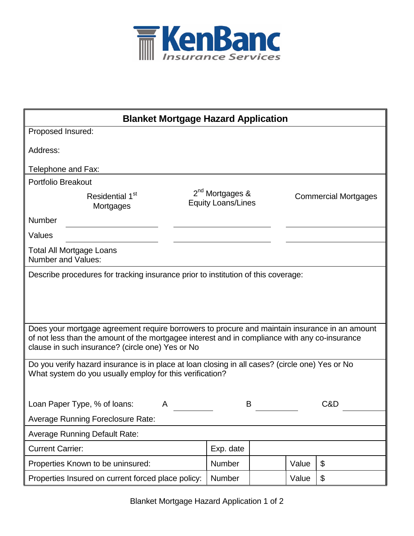

| <b>Blanket Mortgage Hazard Application</b>                                                                                                                                                                                                         |                                                          |  |       |                             |  |
|----------------------------------------------------------------------------------------------------------------------------------------------------------------------------------------------------------------------------------------------------|----------------------------------------------------------|--|-------|-----------------------------|--|
| Proposed Insured:                                                                                                                                                                                                                                  |                                                          |  |       |                             |  |
| Address:                                                                                                                                                                                                                                           |                                                          |  |       |                             |  |
| Telephone and Fax:                                                                                                                                                                                                                                 |                                                          |  |       |                             |  |
| <b>Portfolio Breakout</b>                                                                                                                                                                                                                          |                                                          |  |       |                             |  |
| Residential 1 <sup>st</sup><br>Mortgages                                                                                                                                                                                                           | 2 <sup>nd</sup> Mortgages &<br><b>Equity Loans/Lines</b> |  |       | <b>Commercial Mortgages</b> |  |
| Number                                                                                                                                                                                                                                             |                                                          |  |       |                             |  |
| Values                                                                                                                                                                                                                                             |                                                          |  |       |                             |  |
| <b>Total All Mortgage Loans</b><br><b>Number and Values:</b>                                                                                                                                                                                       |                                                          |  |       |                             |  |
| Describe procedures for tracking insurance prior to institution of this coverage:                                                                                                                                                                  |                                                          |  |       |                             |  |
|                                                                                                                                                                                                                                                    |                                                          |  |       |                             |  |
| Does your mortgage agreement require borrowers to procure and maintain insurance in an amount<br>of not less than the amount of the mortgagee interest and in compliance with any co-insurance<br>clause in such insurance? (circle one) Yes or No |                                                          |  |       |                             |  |
| Do you verify hazard insurance is in place at loan closing in all cases? (circle one) Yes or No<br>What system do you usually employ for this verification?                                                                                        |                                                          |  |       |                             |  |
| Loan Paper Type, % of loans:<br>A                                                                                                                                                                                                                  | B                                                        |  |       | C&D                         |  |
| <b>Average Running Foreclosure Rate:</b>                                                                                                                                                                                                           |                                                          |  |       |                             |  |
| <b>Average Running Default Rate:</b>                                                                                                                                                                                                               |                                                          |  |       |                             |  |
| <b>Current Carrier:</b>                                                                                                                                                                                                                            | Exp. date                                                |  |       |                             |  |
| Properties Known to be uninsured:                                                                                                                                                                                                                  | Number                                                   |  | Value | \$                          |  |
| Properties Insured on current forced place policy:                                                                                                                                                                                                 | Number                                                   |  | Value | \$                          |  |